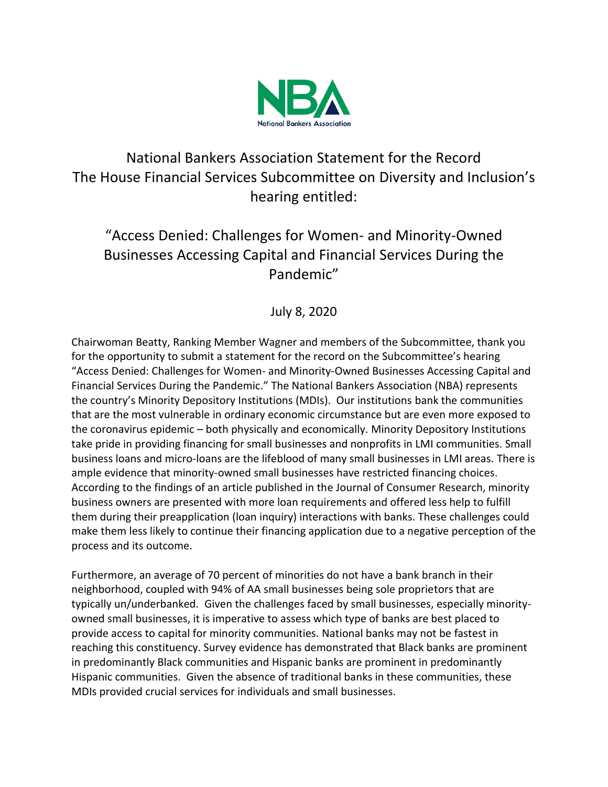

## National Bankers Association Statement for the Record The House Financial Services Subcommittee on Diversity and Inclusion's hearing entitled:

## "Access Denied: Challenges for Women- and Minority-Owned Businesses Accessing Capital and Financial Services During the Pandemic"

## July 8, 2020

Chairwoman Beatty, Ranking Member Wagner and members of the Subcommittee, thank you for the opportunity to submit a statement for the record on the Subcommittee's hearing "Access Denied: Challenges for Women- and Minority-Owned Businesses Accessing Capital and Financial Services During the Pandemic." The National Bankers Association (NBA) represents the country's Minority Depository Institutions (MDIs). Our institutions bank the communities that are the most vulnerable in ordinary economic circumstance but are even more exposed to the coronavirus epidemic – both physically and economically. Minority Depository Institutions take pride in providing financing for small businesses and nonprofits in LMI communities. Small business loans and micro-loans are the lifeblood of many small businesses in LMI areas. There is ample evidence that minority-owned small businesses have restricted financing choices. According to the findings of an article published in the Journal of Consumer Research, minority business owners are presented with more loan requirements and offered less help to fulfill them during their preapplication (loan inquiry) interactions with banks. These challenges could make them less likely to continue their financing application due to a negative perception of the process and its outcome.

Furthermore, an average of 70 percent of minorities do not have a bank branch in their neighborhood, coupled with 94% of AA small businesses being sole proprietors that are typically un/underbanked. Given the challenges faced by small businesses, especially minorityowned small businesses, it is imperative to assess which type of banks are best placed to provide access to capital for minority communities. National banks may not be fastest in reaching this constituency. Survey evidence has demonstrated that Black banks are prominent in predominantly Black communities and Hispanic banks are prominent in predominantly Hispanic communities. Given the absence of traditional banks in these communities, these MDIs provided crucial services for individuals and small businesses.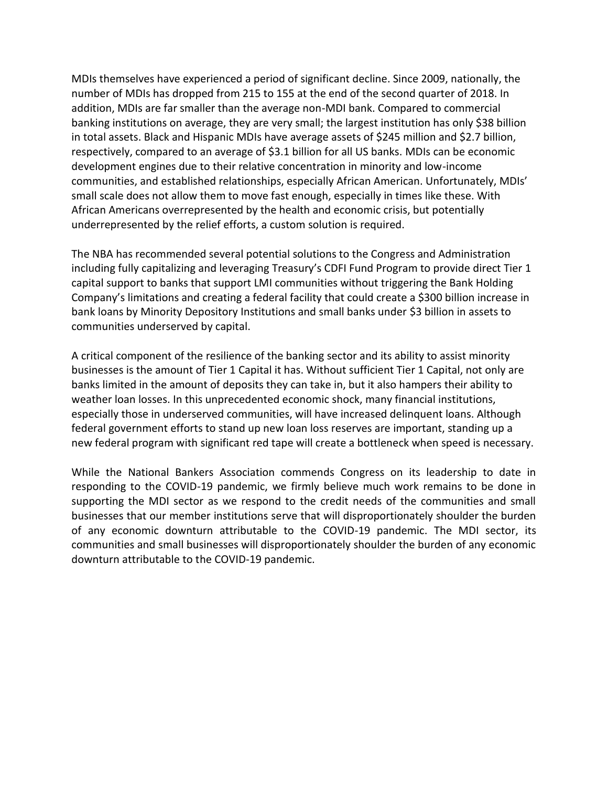MDIs themselves have experienced a period of significant decline. Since 2009, nationally, the number of MDIs has dropped from 215 to 155 at the end of the second quarter of 2018. In addition, MDIs are far smaller than the average non-MDI bank. Compared to commercial banking institutions on average, they are very small; the largest institution has only \$38 billion in total assets. Black and Hispanic MDIs have average assets of \$245 million and \$2.7 billion, respectively, compared to an average of \$3.1 billion for all US banks. MDIs can be economic development engines due to their relative concentration in minority and low-income communities, and established relationships, especially African American. Unfortunately, MDIs' small scale does not allow them to move fast enough, especially in times like these. With African Americans overrepresented by the health and economic crisis, but potentially underrepresented by the relief efforts, a custom solution is required.

The NBA has recommended several potential solutions to the Congress and Administration including fully capitalizing and leveraging Treasury's CDFI Fund Program to provide direct Tier 1 capital support to banks that support LMI communities without triggering the Bank Holding Company's limitations and creating a federal facility that could create a \$300 billion increase in bank loans by Minority Depository Institutions and small banks under \$3 billion in assets to communities underserved by capital.

A critical component of the resilience of the banking sector and its ability to assist minority businesses is the amount of Tier 1 Capital it has. Without sufficient Tier 1 Capital, not only are banks limited in the amount of deposits they can take in, but it also hampers their ability to weather loan losses. In this unprecedented economic shock, many financial institutions, especially those in underserved communities, will have increased delinquent loans. Although federal government efforts to stand up new loan loss reserves are important, standing up a new federal program with significant red tape will create a bottleneck when speed is necessary.

While the National Bankers Association commends Congress on its leadership to date in responding to the COVID-19 pandemic, we firmly believe much work remains to be done in supporting the MDI sector as we respond to the credit needs of the communities and small businesses that our member institutions serve that will disproportionately shoulder the burden of any economic downturn attributable to the COVID-19 pandemic. The MDI sector, its communities and small businesses will disproportionately shoulder the burden of any economic downturn attributable to the COVID-19 pandemic.